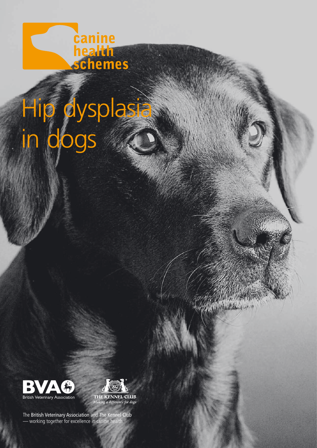

# Hip dysplasia in dogs





ACTOR AND

The British Veterinary Association and The Kennel Club — working together for excellence in canine health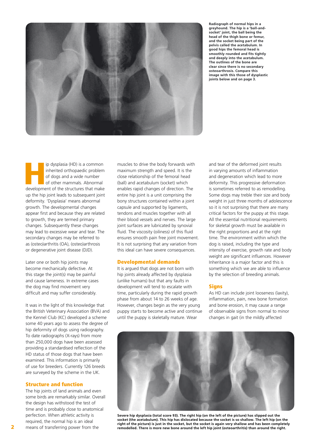

**Radiograph of normal hips in a greyhound. The hip is a 'ball-andsocket' joint, the ball being the head of the thigh bone or femur, and the socket being part of the pelvis called the acetabulum. In good hips the femoral head is smoothly rounded and fits tightly and deeply into the acetabulum. The outlines of the bone are clear since there is no secondary osteoarthrosis. Compare this image with this those of dysplastic joints below and on page 3.**

Ip dysplasia (HD) is a common inherited orthopaedic problem of dogs and a wide number of other mammals. Abnormal development of the structures that make inherited orthopaedic problem of dogs and a wide number of other mammals. Abnormal up the hip joint leads to subsequent joint deformity. 'Dysplasia' means abnormal growth. The developmental changes appear first and because they are related to growth, they are termed primary changes. Subsequently these changes may lead to excessive wear and tear. The secondary changes may be referred to as (osteo)arthritis (OA), (osteo)arthrosis or degenerative joint disease (DJD).

Later one or both hip joints may become mechanically defective. At this stage the joint(s) may be painful and cause lameness. In extreme cases the dog may find movement very difficult and may suffer considerably.

It was in the light of this knowledge that the British Veterinary Association (BVA) and the Kennel Club (KC) developed a scheme some 40 years ago to assess the degree of hip deformity of dogs using radiography. To date radiographs (X-rays) from more than 250,000 dogs have been assessed providing a standardised reflection of the HD status of those dogs that have been examined. This information is primarily of use for breeders. Currently 126 breeds are surveyed by the scheme in the UK.

# Structure and function

The hip joints of land animals and even some birds are remarkably similar. Overall the design has withstood the test of time and is probably close to anatomical perfection. When athletic activity is required, the normal hip is an ideal means of transferring power from the

muscles to drive the body forwards with maximum strength and speed. It is the close relationship of the femoral head (ball) and acetabulum (socket) which enables rapid changes of direction. The entire hip joint is a unit comprising the bony structures contained within a joint capsule and supported by ligaments, tendons and muscles together with all their blood vessels and nerves. The large joint surfaces are lubricated by synovial fluid. The viscosity (oiliness) of this fluid ensures smooth pain free joint movement. It is not surprising that any variation from this ideal can have severe consequences.

### Developmental demands

It is argued that dogs are not born with hip joints already affected by dysplasia (unlike humans) but that any faults in development will tend to escalate with time, particularly during the rapid growth phase from about 14 to 26 weeks of age. However, changes begin as the very young puppy starts to become active and continue until the puppy is skeletally mature. Wear

and tear of the deformed joint results in varying amounts of inflammation and degeneration which lead to more deformity. This progressive deformation is sometimes referred to as remodelling. Some dogs may treble their size and body weight in just three months of adolescence so it is not surprising that there are many critical factors for the puppy at this stage. All the essential nutritional requirements for skeletal growth must be available in the right proportions and at the right time. The environment within which the dog is raised, including the type and intensity of exercise, growth rate and body weight are significant influences. However Inheritance is a major factor and this is something which we are able to influence by the selection of breeding animals.

### Signs

As HD can include joint looseness (laxity), inflammation, pain, new bone formation and bone erosion, it may cause a range of observable signs from normal to minor changes in gait (in the mildly affected



**Severe hip dysplasia (total score 93). The right hip (on the left of the picture) has slipped out the socket (the acetabulum). This hip has dislocated because the socket is so shallow. The left hip (on the right of the picture) is just in the socket, but the socket is again very shallow and has been completely remodelled. There is more new bone around the left hip joint (osteoarthritis) than around the right.**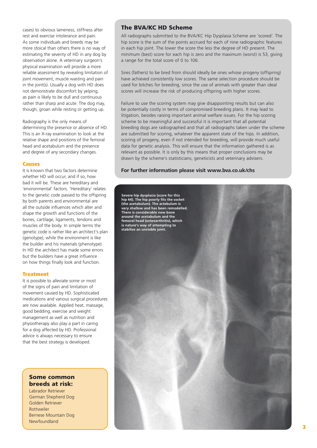cases) to obvious lameness, stiffness after rest and exercise intolerance and pain. As some individuals and breeds may be more stoical than others there is no way of estimating the severity of HD in any dog by observation alone. A veterinary surgeon's physical examination will provide a more reliable assessment by revealing limitation of joint movement, muscle wasting and pain in the joint(s). Usually a dog with HD does not demonstrate discomfort by yelping, as pain is likely to be dull and continuous rather than sharp and acute. The dog may, though, groan while resting or getting up.

Radiography is the only means of determining the presence or absence of HD. This is an X-ray examination to look at the relative shape and positions of the femoral head and acetabulum and the presence and degree of any secondary changes.

## Causes

It is known that two factors determine whether HD will occur, and if so, how bad it will be. These are hereditary and 'environmental' factors. 'Hereditary' relates to the genetic code passed to the offspring by both parents and environmental are all the outside influences which alter and shape the growth and functions of the bones, cartilage, ligaments, tendons and muscles of the body. In simple terms the genetic code is rather like an architect's plan (genotype), while the environment is like the builder and his materials (phenotype). In HD the architect has made some errors but the builders have a great influence on how things finally look and function.

# **Treatment**

It is possible to alleviate some or most of the signs of pain and limitation of movement caused by HD. Sophisticated medications and various surgical procedures are now available. Applied heat, massage, good bedding, exercise and weight management as well as nutrition and physiotherapy also play a part in caring for a dog affected by HD. Professional advice is always necessary to ensure that the best strategy is developed.

# Some common breeds at risk:

Labrador Retriever German Shepherd Dog Golden Retriever Rottweiler Bernese Mountain Dog Newfoundland

# The BVA/KC HD Scheme

All radiographs submitted to the BVA/KC Hip Dysplasia Scheme are 'scored'. The hip score is the sum of the points accrued for each of nine radiographic features in each hip joint. The lower the score the less the degree of HD present. The minimum (best) score for each hip is zero and the maximum (worst) is 53, giving a range for the total score of 0 to 106.

Sires (fathers) to be bred from should ideally be ones whose progeny (offspring) have achieved consistently low scores. The same selection procedure should be used for bitches for breeding, since the use of animals with greater than ideal scores will increase the risk of producing offspring with higher scores.

Failure to use the scoring system may give disappointing results but can also be potentially costly in terms of compromised breeding plans. It may lead to litigation, besides raising important animal welfare issues. For the hip scoring scheme to be meaningful and successful it is important that all potential breeding dogs are radiographed and that all radiographs taken under the scheme are submitted for scoring, whatever the apparent state of the hips. In addition, scoring of progeny, even if not intended for breeding, will provide much useful data for genetic analysis. This will ensure that the information gathered is as relevant as possible. It is only by this means that proper conclusions may be drawn by the scheme's statisticians, geneticists and veterinary advisers.

# **For further information please visit www.bva.co.uk/chs**